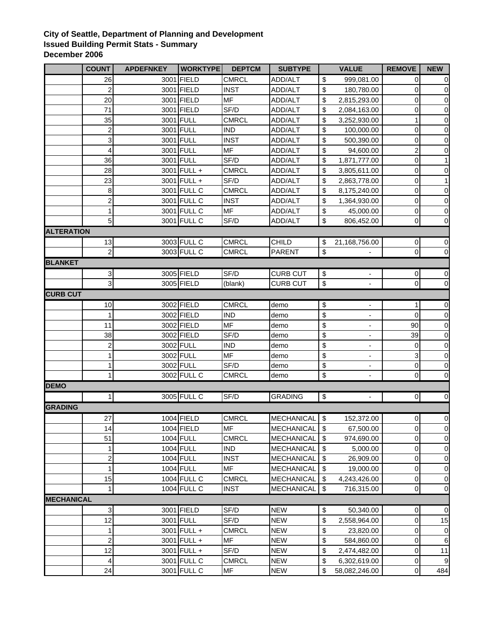## **City of Seattle, Department of Planning and Development Issued Building Permit Stats - Summary December 2006**

|                   | <b>COUNT</b>                  | <b>APDEFNKEY</b> | <b>WORKTYPE</b> | <b>DEPTCM</b> | <b>SUBTYPE</b>           |                           | <b>VALUE</b>              | <b>REMOVE</b>     | <b>NEW</b>       |
|-------------------|-------------------------------|------------------|-----------------|---------------|--------------------------|---------------------------|---------------------------|-------------------|------------------|
|                   | 26                            |                  | 3001 FIELD      | <b>CMRCL</b>  | <b>ADD/ALT</b>           | \$                        | 999,081.00                | 0                 | $\mathbf 0$      |
|                   | $\overline{c}$                |                  | 3001 FIELD      | <b>INST</b>   | ADD/ALT                  | \$                        | 180,780.00                | 0                 | $\pmb{0}$        |
|                   | 20                            |                  | 3001 FIELD      | <b>MF</b>     | ADD/ALT                  | \$                        | 2,815,293.00              | 0                 | $\pmb{0}$        |
|                   | 71                            |                  | 3001 FIELD      | SF/D          | ADD/ALT                  | \$                        | 2,084,163.00              | 0                 | $\pmb{0}$        |
|                   | 35                            | 3001             | <b>FULL</b>     | <b>CMRCL</b>  | ADD/ALT                  | \$                        | 3,252,930.00              | 1                 | $\mathbf 0$      |
|                   | $\overline{c}$                |                  | 3001 FULL       | <b>IND</b>    | ADD/ALT                  | \$                        | 100,000.00                | 0                 | $\mathbf 0$      |
|                   | 3                             |                  | 3001 FULL       | <b>INST</b>   | ADD/ALT                  | \$                        | 500,390.00                | 0                 | $\overline{0}$   |
|                   | 4                             |                  | 3001 FULL       | <b>MF</b>     | ADD/ALT                  | \$                        | 94,600.00                 | 2                 | $\overline{0}$   |
|                   | 36                            |                  | 3001 FULL       | SF/D          | ADD/ALT                  | \$                        | 1,871,777.00              | 0                 | 1                |
|                   | 28                            |                  | 3001 FULL +     | CMRCL         | ADD/ALT                  | \$                        | 3,805,611.00              | 0                 | $\pmb{0}$        |
|                   | 23                            |                  | 3001 FULL +     | SF/D          | <b>ADD/ALT</b>           | \$                        | 2,863,778.00              | 0                 | $\mathbf{1}$     |
|                   | 8                             |                  | 3001 FULL C     | CMRCL         | <b>ADD/ALT</b>           | \$                        | 8,175,240.00              | 0                 | $\mathbf 0$      |
|                   | $\overline{c}$                |                  | 3001 FULL C     | <b>INST</b>   | <b>ADD/ALT</b>           | \$                        | 1,364,930.00              | 0                 | $\pmb{0}$        |
|                   | 1                             |                  | 3001 FULL C     | <b>MF</b>     | ADD/ALT                  | \$                        | 45,000.00                 | 0                 | $\pmb{0}$        |
|                   | 5 <sub>5</sub>                |                  | 3001 FULL C     | SF/D          | ADD/ALT                  | \$                        | 806,452.00                | 0                 | $\pmb{0}$        |
| <b>ALTERATION</b> |                               |                  |                 |               |                          |                           |                           |                   |                  |
|                   | 13                            |                  | 3003 FULL C     | CMRCL         | <b>CHILD</b>             | \$                        | 21,168,756.00             | 0                 | $\mathbf 0$      |
|                   | $\overline{a}$                |                  | 3003 FULL C     | <b>CMRCL</b>  | <b>PARENT</b>            | \$                        |                           | 0                 | $\overline{0}$   |
| <b>BLANKET</b>    |                               |                  |                 |               |                          |                           |                           |                   |                  |
|                   | $\mathbf{3}$                  |                  | 3005 FIELD      | SF/D          | <b>CURB CUT</b>          | \$                        |                           | 0                 | $\pmb{0}$        |
|                   | $\overline{3}$                |                  | 3005 FIELD      | (blank)       | <b>CURB CUT</b>          | $\boldsymbol{\mathsf{S}}$ | $\frac{1}{2}$             | 0                 | $\mathbf 0$      |
| <b>CURB CUT</b>   |                               |                  |                 |               |                          |                           |                           |                   |                  |
|                   | 10                            |                  | 3002 FIELD      | <b>CMRCL</b>  | demo                     | \$                        | $\overline{\phantom{0}}$  | 1                 | $\overline{0}$   |
|                   | 1                             |                  | 3002 FIELD      | <b>IND</b>    | demo                     | \$                        | $\blacksquare$            | $\mathbf 0$       | $\overline{0}$   |
|                   | 11                            |                  | 3002 FIELD      | <b>MF</b>     | demo                     | \$                        | $\overline{\phantom{a}}$  | 90                | $\overline{0}$   |
|                   | 38                            |                  | 3002 FIELD      | SF/D          | demo                     | \$                        | $\blacksquare$            | 39                | $\pmb{0}$        |
|                   | $\overline{\mathbf{c}}$       |                  | 3002 FULL       | <b>IND</b>    | demo                     | \$                        | $\overline{\phantom{a}}$  | 0                 | $\overline{0}$   |
|                   | 1                             |                  | 3002 FULL       | <b>MF</b>     | demo                     | \$                        | ۰                         | 3                 | $\mathbf 0$      |
|                   | 1                             |                  | 3002 FULL       | SF/D          | demo                     | \$                        | $\overline{\phantom{a}}$  | 0                 | $\pmb{0}$        |
|                   | 1                             |                  | 3002 FULL C     | CMRCL         | demo                     | $\,$                      | $\frac{1}{2}$             | $\boldsymbol{0}$  | $\mathbf 0$      |
| <b>DEMO</b>       |                               |                  |                 |               |                          |                           |                           |                   |                  |
|                   | $\mathbf{1}$                  |                  | 3005 FULL C     | SF/D          | <b>GRADING</b>           | $\boldsymbol{\mathsf{S}}$ | $\Box$                    | $\overline{0}$    | $\overline{0}$   |
| <b>GRADING</b>    |                               |                  |                 |               |                          |                           |                           |                   |                  |
|                   | 27                            |                  | 1004 FIELD      | CMRCL         | <b>MECHANICAL</b>        | \$                        | 152,372.00                | 0                 | $\mathbf 0$      |
|                   | 14                            |                  | 1004 FIELD      | <b>MF</b>     | MECHANICAL \$            |                           | 67,500.00                 |                   | $\mathbf 0$      |
|                   | 51                            |                  | 1004 FULL       | <b>CMRCL</b>  |                          | \$                        | 974,690.00                | <sub>0</sub><br>0 | $\pmb{0}$        |
|                   | 1                             |                  | 1004 FULL       | <b>IND</b>    | MECHANICAL<br>MECHANICAL | \$                        | 5,000.00                  | 0                 | 0                |
|                   | 2                             |                  | 1004 FULL       | <b>INST</b>   | <b>MECHANICAL</b>        | \$                        | 26,909.00                 | 0                 |                  |
|                   | 1                             |                  | 1004 FULL       | <b>MF</b>     | MECHANICAL               | \$                        | 19,000.00                 | 0                 | 0<br>0           |
|                   | 15                            |                  | 1004 FULL C     | <b>CMRCL</b>  | MECHANICAL               | \$                        | 4,243,426.00              | 0                 | $\overline{0}$   |
|                   | 1                             |                  | 1004 FULL C     | <b>INST</b>   | <b>MECHANICAL</b>        | $\sqrt{2}$                | 716,315.00                | 0                 | $\overline{0}$   |
| <b>MECHANICAL</b> |                               |                  |                 |               |                          |                           |                           |                   |                  |
|                   | 3                             |                  | 3001 FIELD      | SF/D          | <b>NEW</b>               | \$                        |                           |                   | $\overline{0}$   |
|                   | 12                            |                  | 3001 FULL       | SF/D          | <b>NEW</b>               | \$                        | 50,340.00<br>2,558,964.00 | $\pmb{0}$<br>0    | 15               |
|                   |                               |                  |                 |               |                          |                           |                           |                   |                  |
|                   | 1                             |                  | 3001 FULL +     | <b>CMRCL</b>  | <b>NEW</b>               | \$                        | 23,820.00                 | 0                 | $\overline{0}$   |
|                   | $\overline{\mathbf{c}}$<br>12 |                  | 3001 FULL +     | MF<br>SF/D    | <b>NEW</b>               | \$                        | 584,860.00                | 0<br>0            | 6                |
|                   |                               |                  | 3001 FULL +     |               | <b>NEW</b>               | \$                        | 2,474,482.00              |                   | 11               |
|                   | 4                             |                  | 3001 FULL C     | <b>CMRCL</b>  | <b>NEW</b>               | \$                        | 6,302,619.00              | 0                 | $\boldsymbol{9}$ |
|                   | 24                            |                  | 3001 FULL C     | MF            | <b>NEW</b>               | \$                        | 58,082,246.00             | 0                 | 484              |